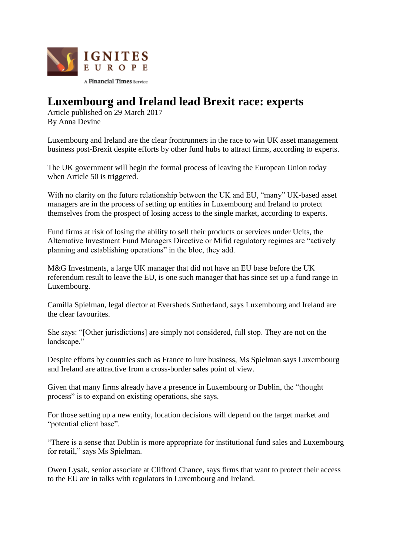

## **Luxembourg and Ireland lead Brexit race: experts**

Article published on 29 March 2017 By Anna Devine

Luxembourg and Ireland are the clear frontrunners in the race to win UK asset management business post-Brexit despite efforts by other fund hubs to attract firms, according to experts.

The UK government will begin the formal process of leaving the European Union today when Article 50 is triggered.

With no clarity on the future relationship between the UK and EU, "many" UK-based asset managers are in the process of setting up entities in Luxembourg and Ireland to protect themselves from the prospect of losing access to the single market, according to experts.

Fund firms at risk of losing the ability to sell their products or services under Ucits, the Alternative Investment Fund Managers Directive or Mifid regulatory regimes are "actively planning and establishing operations" in the bloc, they add.

M&G Investments, a large UK manager that did not have an EU base before the UK referendum result to leave the EU, is one such manager that has since set up a fund range in Luxembourg.

Camilla Spielman, legal diector at Eversheds Sutherland, says Luxembourg and Ireland are the clear favourites.

She says: "[Other jurisdictions] are simply not considered, full stop. They are not on the landscape."

Despite efforts by countries such as France to lure business, Ms Spielman says Luxembourg and Ireland are attractive from a cross-border sales point of view.

Given that many firms already have a presence in Luxembourg or Dublin, the "thought process" is to expand on existing operations, she says.

For those setting up a new entity, location decisions will depend on the target market and "potential client base".

"There is a sense that Dublin is more appropriate for institutional fund sales and Luxembourg for retail," says Ms Spielman.

Owen Lysak, senior associate at Clifford Chance, says firms that want to protect their access to the EU are in talks with regulators in Luxembourg and Ireland.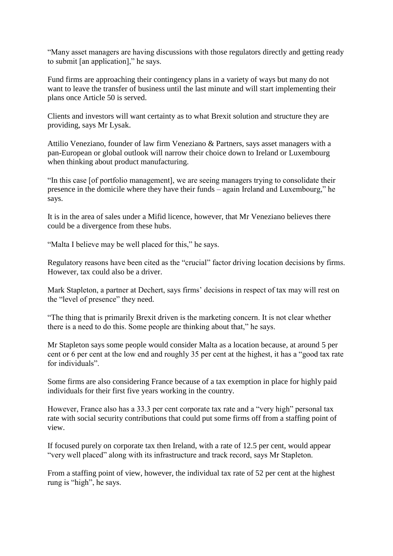"Many asset managers are having discussions with those regulators directly and getting ready to submit [an application]," he says.

Fund firms are approaching their contingency plans in a variety of ways but many do not want to leave the transfer of business until the last minute and will start implementing their plans once Article 50 is served.

Clients and investors will want certainty as to what Brexit solution and structure they are providing, says Mr Lysak.

Attilio Veneziano, founder of law firm Veneziano & Partners, says asset managers with a pan-European or global outlook will narrow their choice down to Ireland or Luxembourg when thinking about product manufacturing.

"In this case [of portfolio management], we are seeing managers trying to consolidate their presence in the domicile where they have their funds – again Ireland and Luxembourg," he says.

It is in the area of sales under a Mifid licence, however, that Mr Veneziano believes there could be a divergence from these hubs.

"Malta I believe may be well placed for this," he says.

Regulatory reasons have been cited as the "crucial" factor driving location decisions by firms. However, tax could also be a driver.

Mark Stapleton, a partner at Dechert, says firms' decisions in respect of tax may will rest on the "level of presence" they need.

"The thing that is primarily Brexit driven is the marketing concern. It is not clear whether there is a need to do this. Some people are thinking about that," he says.

Mr Stapleton says some people would consider Malta as a location because, at around 5 per cent or 6 per cent at the low end and roughly 35 per cent at the highest, it has a "good tax rate for individuals".

Some firms are also considering France because of a tax exemption in place for highly paid individuals for their first five years working in the country.

However, France also has a 33.3 per cent corporate tax rate and a "very high" personal tax rate with social security contributions that could put some firms off from a staffing point of view.

If focused purely on corporate tax then Ireland, with a rate of 12.5 per cent, would appear "very well placed" along with its infrastructure and track record, says Mr Stapleton.

From a staffing point of view, however, the individual tax rate of 52 per cent at the highest rung is "high", he says.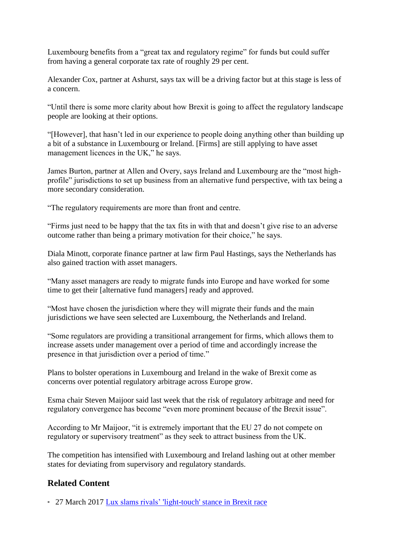Luxembourg benefits from a "great tax and regulatory regime" for funds but could suffer from having a general corporate tax rate of roughly 29 per cent.

Alexander Cox, partner at Ashurst, says tax will be a driving factor but at this stage is less of a concern.

"Until there is some more clarity about how Brexit is going to affect the regulatory landscape people are looking at their options.

"[However], that hasn't led in our experience to people doing anything other than building up a bit of a substance in Luxembourg or Ireland. [Firms] are still applying to have asset management licences in the UK," he says.

James Burton, partner at Allen and Overy, says Ireland and Luxembourg are the "most highprofile" jurisdictions to set up business from an alternative fund perspective, with tax being a more secondary consideration.

"The regulatory requirements are more than front and centre.

"Firms just need to be happy that the tax fits in with that and doesn't give rise to an adverse outcome rather than being a primary motivation for their choice," he says.

Diala Minott, corporate finance partner at law firm Paul Hastings, says the Netherlands has also gained traction with asset managers.

"Many asset managers are ready to migrate funds into Europe and have worked for some time to get their [alternative fund managers] ready and approved.

"Most have chosen the jurisdiction where they will migrate their funds and the main jurisdictions we have seen selected are Luxembourg, the Netherlands and Ireland.

"Some regulators are providing a transitional arrangement for firms, which allows them to increase assets under management over a period of time and accordingly increase the presence in that jurisdiction over a period of time."

Plans to bolster operations in Luxembourg and Ireland in the wake of Brexit come as concerns over potential regulatory arbitrage across Europe grow.

Esma chair Steven Maijoor said last week that the risk of regulatory arbitrage and need for regulatory convergence has become "even more prominent because of the Brexit issue".

According to Mr Maijoor, "it is extremely important that the EU 27 do not compete on regulatory or supervisory treatment" as they seek to attract business from the UK.

The competition has intensified with Luxembourg and Ireland lashing out at other member states for deviating from supervisory and regulatory standards.

## **Related Content**

27 March 2017 [Lux slams rivals' 'light-touch' stance in Brexit race](http://igniteseurope.com/c/1597413/186203/slams_rivals_light_touch_stance_brexit_race?referrer_module=emailForwarded&module_order=1)